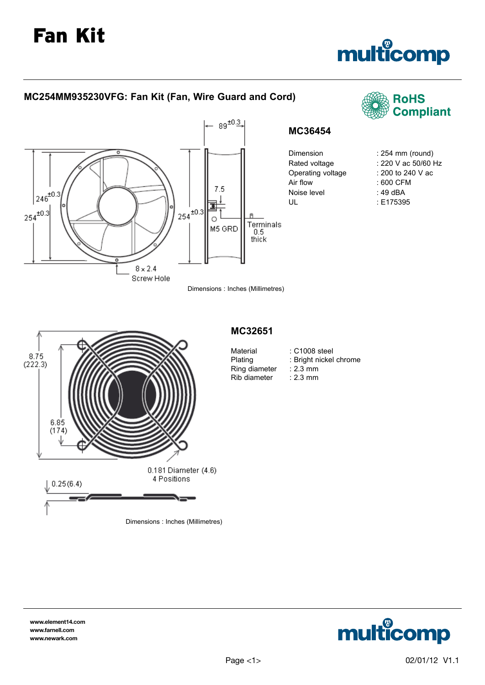# Fan Kit





**www.element14.com www.farnell.com www.newark.com**